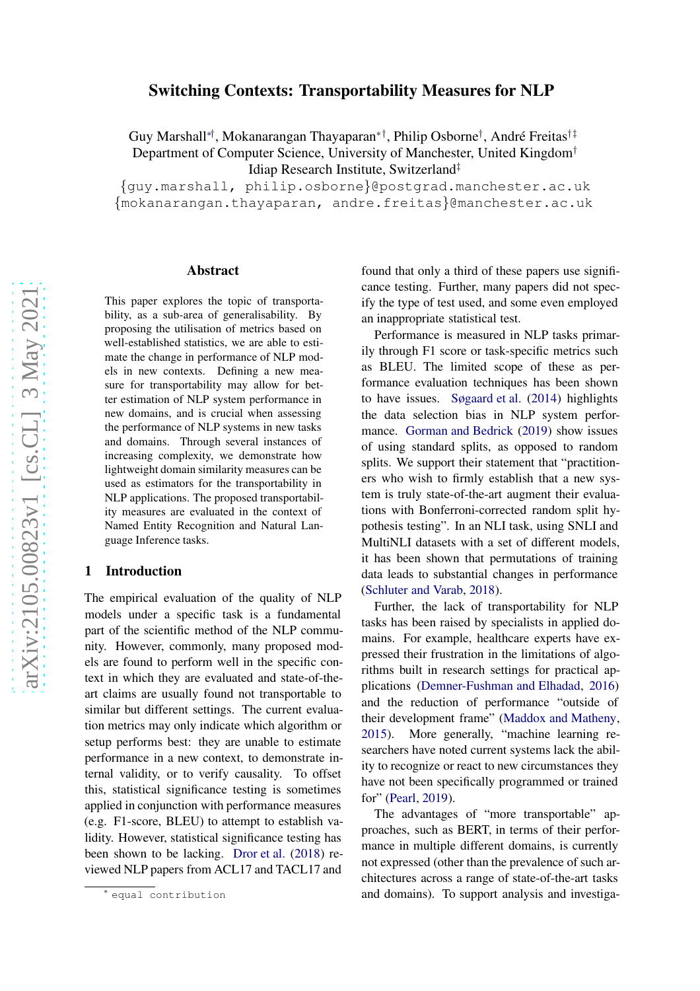# Switching Contexts: Transportability Measures for NLP

Guy Marshall\*†, Mokanarangan Thayaparan\*†, Philip Osborne†, André Freitas†‡ Department of Computer Science, University of Manchester, United Kingdom<sup>†</sup> Idiap Research Institute, Switzerland ‡

{guy.marshall, philip.osborne }@postgrad.manchester.ac.uk {mokanarangan.thayaparan, andre.freitas }@manchester.ac.uk

### Abstract

This paper explores the topic of transportability, as a sub-area of generalisability. By proposing the utilisation of metrics based on well-established statistics, we are able to estimate the change in performance of NLP models in new contexts. Defining a new measure for transportability may allow for better estimation of NLP system performance in new domains, and is crucial when assessing the performance of NLP systems in new tasks and domains. Through several instances of increasing complexity, we demonstrate how lightweight domain similarity measures can be used as estimators for the transportability in NLP applications. The proposed transportability measures are evaluated in the context of Named Entity Recognition and Natural Language Inference tasks.

### 1 Introduction

The empirical evaluation of the quality of NLP models under a specific task is a fundamental part of the scientific method of the NLP community. However, commonly, many proposed models are found to perform well in the specific context in which they are evaluated and state-of-theart claims are usually found not transportable to similar but different settings. The current evaluation metrics may only indicate which algorithm or setup performs best: they are unable to estimate performance in a new context, to demonstrate internal validity, or to verify causality. To offset this, statistical significance testing is sometimes applied in conjunction with performance measures (e.g. F1-score, BLEU) to attempt to establish validity. However, statistical significance testing has been shown to be lacking. [Dror et al.](#page-8-0) [\(2018](#page-8-0)) reviewed NLP papers from ACL17 and TACL17 and

found that only a third of these papers use significance testing. Further, many papers did not specify the type of test used, and some even employed an inappropriate statistical test.

Performance is measured in NLP tasks primarily through F1 score or task-specific metrics such as BLEU. The limited scope of these as performance evaluation techniques has been shown to have issues. [Søgaard et al.](#page-9-0) [\(2014](#page-9-0)) highlights the data selection bias in NLP system performance. [Gorman and Bedrick](#page-8-1) [\(2019](#page-8-1)) show issues of using standard splits, as opposed to random splits. We support their statement that "practitioners who wish to firmly establish that a new system is truly state-of-the-art augment their evaluations with Bonferroni-corrected random split hypothesis testing". In an NLI task, using SNLI and MultiNLI datasets with a set of different models, it has been shown that permutations of training data leads to substantial changes in performance [\(Schluter and Varab](#page-9-1), [2018\)](#page-9-1).

Further, the lack of transportability for NLP tasks has been raised by specialists in applied domains. For example, healthcare experts have expressed their frustration in the limitations of algorithms built in research settings for practical applications [\(Demner-Fushman and Elhadad](#page-8-2), [2016](#page-8-2)) and the reduction of performance "outside of their development frame" [\(Maddox and Matheny](#page-8-3) , [2015](#page-8-3)). More generally, "machine learning researchers have noted current systems lack the ability to recognize or react to new circumstances they have not been specifically programmed or trained for" [\(Pearl](#page-9-2) , [2019\)](#page-9-2).

The advantages of "more transportable" approaches, such as BERT, in terms of their performance in multiple different domains, is currently not expressed (other than the prevalence of such architectures across a range of state-of-the-art tasks and domains). To support analysis and investiga-

<sup>∗</sup> equal contribution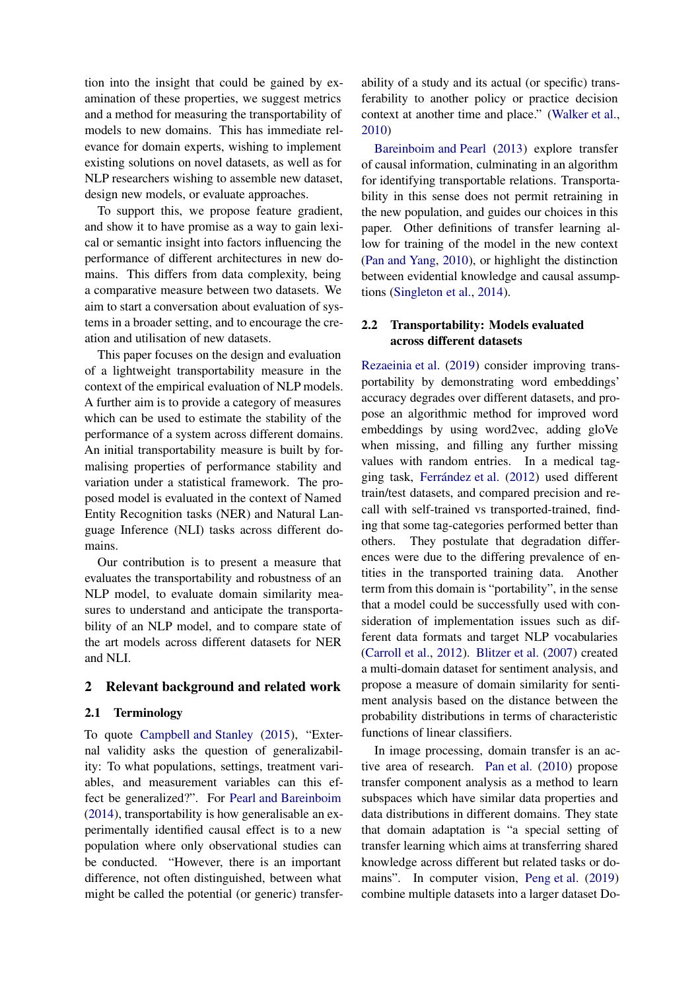tion into the insight that could be gained by examination of these properties, we suggest metrics and a method for measuring the transportability of models to new domains. This has immediate relevance for domain experts, wishing to implement existing solutions on novel datasets, as well as for NLP researchers wishing to assemble new dataset, design new models, or evaluate approaches.

To support this, we propose feature gradient, and show it to have promise as a way to gain lexical or semantic insight into factors influencing the performance of different architectures in new domains. This differs from data complexity, being a comparative measure between two datasets. We aim to start a conversation about evaluation of systems in a broader setting, and to encourage the creation and utilisation of new datasets.

This paper focuses on the design and evaluation of a lightweight transportability measure in the context of the empirical evaluation of NLP models. A further aim is to provide a category of measures which can be used to estimate the stability of the performance of a system across different domains. An initial transportability measure is built by formalising properties of performance stability and variation under a statistical framework. The proposed model is evaluated in the context of Named Entity Recognition tasks (NER) and Natural Language Inference (NLI) tasks across different domains.

Our contribution is to present a measure that evaluates the transportability and robustness of an NLP model, to evaluate domain similarity measures to understand and anticipate the transportability of an NLP model, and to compare state of the art models across different datasets for NER and NLI.

## 2 Relevant background and related work

### 2.1 Terminology

To quote [Campbell and Stanley](#page-8-4) [\(2015\)](#page-8-4), "External validity asks the question of generalizability: To what populations, settings, treatment variables, and measurement variables can this effect be generalized?". For [Pearl and Bareinboim](#page-9-3) [\(2014](#page-9-3)), transportability is how generalisable an experimentally identified causal effect is to a new population where only observational studies can be conducted. "However, there is an important difference, not often distinguished, between what might be called the potential (or generic) transferability of a study and its actual (or specific) transferability to another policy or practice decision context at another time and place." [\(Walker et al.](#page-9-4), [2010](#page-9-4))

[Bareinboim and Pearl](#page-8-5) [\(2013](#page-8-5)) explore transfer of causal information, culminating in an algorithm for identifying transportable relations. Transportability in this sense does not permit retraining in the new population, and guides our choices in this paper. Other definitions of transfer learning allow for training of the model in the new context [\(Pan and Yang](#page-9-5), [2010](#page-9-5)), or highlight the distinction between evidential knowledge and causal assumptions [\(Singleton et al.,](#page-9-6) [2014\)](#page-9-6).

## 2.2 Transportability: Models evaluated across different datasets

[Rezaeinia et al.](#page-9-7) [\(2019\)](#page-9-7) consider improving transportability by demonstrating word embeddings' accuracy degrades over different datasets, and propose an algorithmic method for improved word embeddings by using word2vec, adding gloVe when missing, and filling any further missing values with random entries. In a medical tag-ging task, Ferrández et al. [\(2012\)](#page-8-6) used different train/test datasets, and compared precision and recall with self-trained vs transported-trained, finding that some tag-categories performed better than others. They postulate that degradation differences were due to the differing prevalence of entities in the transported training data. Another term from this domain is "portability", in the sense that a model could be successfully used with consideration of implementation issues such as different data formats and target NLP vocabularies [\(Carroll et al.](#page-8-7), [2012](#page-8-7)). [Blitzer et al.](#page-8-8) [\(2007](#page-8-8)) created a multi-domain dataset for sentiment analysis, and propose a measure of domain similarity for sentiment analysis based on the distance between the probability distributions in terms of characteristic functions of linear classifiers.

In image processing, domain transfer is an active area of research. [Pan et al.](#page-8-9) [\(2010\)](#page-8-9) propose transfer component analysis as a method to learn subspaces which have similar data properties and data distributions in different domains. They state that domain adaptation is "a special setting of transfer learning which aims at transferring shared knowledge across different but related tasks or domains". In computer vision, [Peng et al.](#page-9-8) [\(2019](#page-9-8)) combine multiple datasets into a larger dataset Do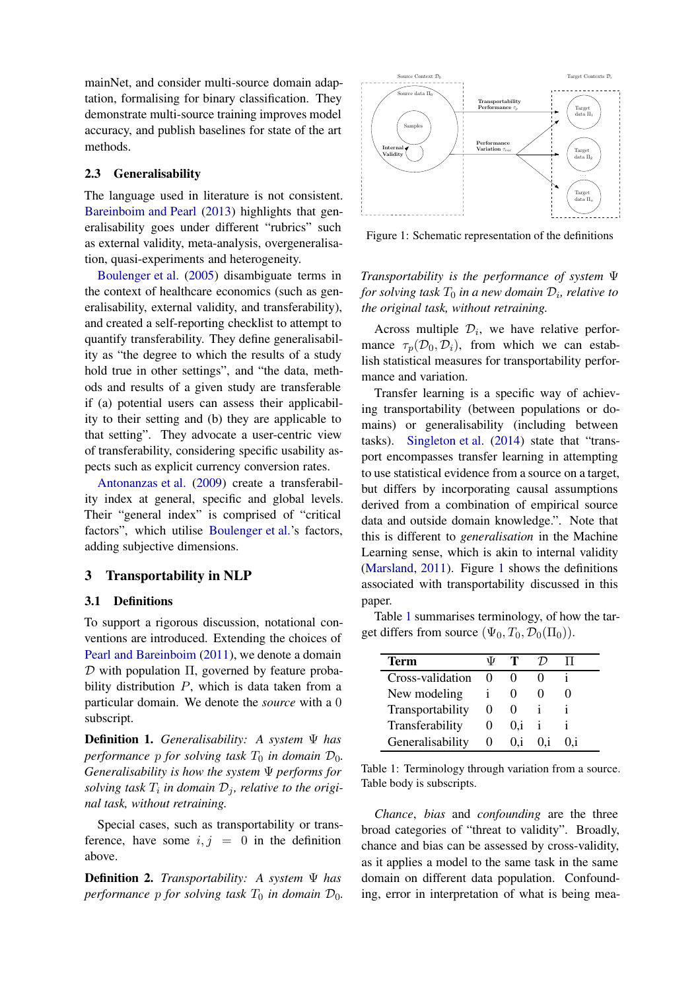mainNet, and consider multi-source domain adaptation, formalising for binary classification. They demonstrate multi-source training improves model accuracy, and publish baselines for state of the art methods.

### 2.3 Generalisability

The language used in literature is not consistent. [Bareinboim and Pearl](#page-8-5) [\(2013](#page-8-5)) highlights that generalisability goes under different "rubrics" such as external validity, meta-analysis, overgeneralisation, quasi-experiments and heterogeneity.

[Boulenger et al.](#page-8-10) [\(2005](#page-8-10)) disambiguate terms in the context of healthcare economics (such as generalisability, external validity, and transferability), and created a self-reporting checklist to attempt to quantify transferability. They define generalisability as "the degree to which the results of a study hold true in other settings", and "the data, methods and results of a given study are transferable if (a) potential users can assess their applicability to their setting and (b) they are applicable to that setting". They advocate a user-centric view of transferability, considering specific usability aspects such as explicit currency conversion rates.

[Antonanzas et al.](#page-8-11) [\(2009\)](#page-8-11) create a transferability index at general, specific and global levels. Their "general index" is comprised of "critical factors", which utilise [Boulenger et al.](#page-8-10)'s factors, adding subjective dimensions.

## 3 Transportability in NLP

### 3.1 Definitions

To support a rigorous discussion, notational conventions are introduced. Extending the choices of [Pearl and Bareinboim](#page-9-9) [\(2011](#page-9-9)), we denote a domain D with population Π, governed by feature probability distribution  $P$ , which is data taken from a particular domain. We denote the *source* with a 0 subscript.

Definition 1. *Generalisability: A system* Ψ *has performance* p *for solving task*  $T_0$  *in domain*  $D_0$ *. Generalisability is how the system* Ψ *performs for* solving task  $T_i$  in domain  $\mathcal{D}_j$ , relative to the origi*nal task, without retraining.*

Special cases, such as transportability or transference, have some  $i, j = 0$  in the definition above.

Definition 2. *Transportability: A system* Ψ *has performance* p *for solving task*  $T_0$  *in domain*  $D_0$ *.* 

<span id="page-2-0"></span>

Figure 1: Schematic representation of the definitions

*Transportability is the performance of system* Ψ *for solving task* T<sup>0</sup> *in a new domain* D<sup>i</sup> *, relative to the original task, without retraining.*

Across multiple  $\mathcal{D}_i$ , we have relative performance  $\tau_p(\mathcal{D}_0, \mathcal{D}_i)$ , from which we can establish statistical measures for transportability performance and variation.

Transfer learning is a specific way of achieving transportability (between populations or domains) or generalisability (including between tasks). [Singleton et al.](#page-9-6) [\(2014](#page-9-6)) state that "transport encompasses transfer learning in attempting to use statistical evidence from a source on a target, but differs by incorporating causal assumptions derived from a combination of empirical source data and outside domain knowledge.". Note that this is different to *generalisation* in the Machine Learning sense, which is akin to internal validity [\(Marsland](#page-8-12), [2011](#page-8-12)). Figure [1](#page-2-0) shows the definitions associated with transportability discussed in this paper.

Table [1](#page-2-1) summarises terminology, of how the target differs from source  $(\Psi_0, T_0, \mathcal{D}_0(\Pi_0)).$ 

<span id="page-2-1"></span>

| Term             | ۱IJ | т   |                 |     |
|------------------|-----|-----|-----------------|-----|
| Cross-validation |     |     |                 |     |
| New modeling     |     |     |                 |     |
| Transportability |     |     |                 |     |
| Transferability  |     | 0.i | 1               |     |
| Generalisability |     | 0.i | () <sub>1</sub> | 0.i |

Table 1: Terminology through variation from a source. Table body is subscripts.

*Chance*, *bias* and *confounding* are the three broad categories of "threat to validity". Broadly, chance and bias can be assessed by cross-validity, as it applies a model to the same task in the same domain on different data population. Confounding, error in interpretation of what is being mea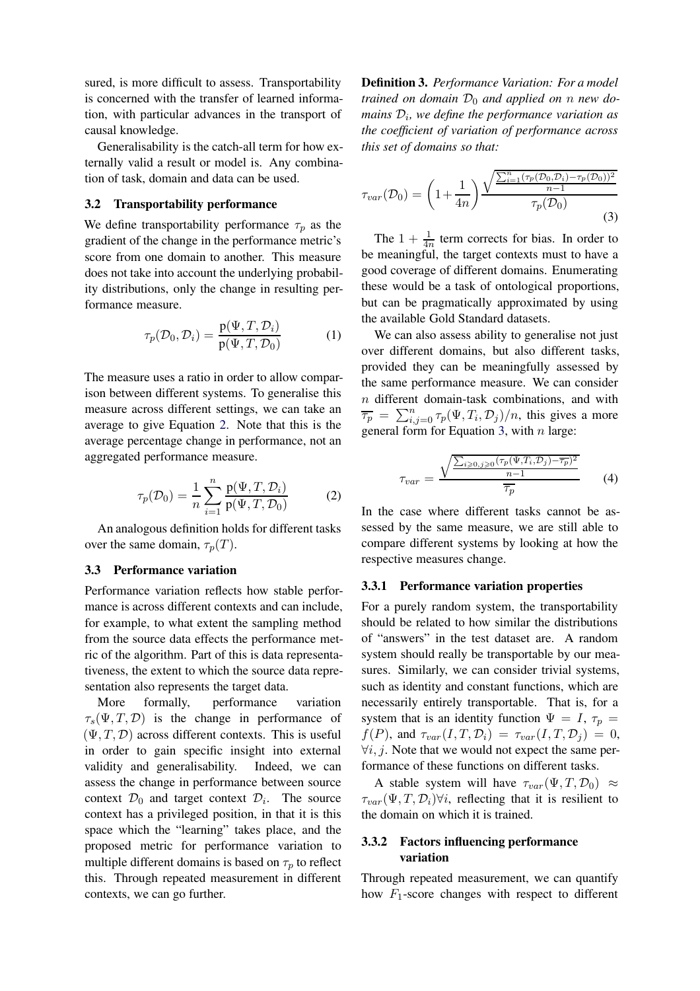sured, is more difficult to assess. Transportability is concerned with the transfer of learned information, with particular advances in the transport of causal knowledge.

Generalisability is the catch-all term for how externally valid a result or model is. Any combination of task, domain and data can be used.

### 3.2 Transportability performance

We define transportability performance  $\tau_p$  as the gradient of the change in the performance metric's score from one domain to another. This measure does not take into account the underlying probability distributions, only the change in resulting performance measure.

$$
\tau_p(\mathcal{D}_0, \mathcal{D}_i) = \frac{p(\Psi, T, \mathcal{D}_i)}{p(\Psi, T, \mathcal{D}_0)}
$$
(1)

The measure uses a ratio in order to allow comparison between different systems. To generalise this measure across different settings, we can take an average to give Equation [2.](#page-3-0) Note that this is the average percentage change in performance, not an aggregated performance measure.

<span id="page-3-0"></span>
$$
\tau_p(\mathcal{D}_0) = \frac{1}{n} \sum_{i=1}^n \frac{p(\Psi, T, \mathcal{D}_i)}{p(\Psi, T, \mathcal{D}_0)}
$$
(2)

An analogous definition holds for different tasks over the same domain,  $\tau_p(T)$ .

#### 3.3 Performance variation

Performance variation reflects how stable performance is across different contexts and can include, for example, to what extent the sampling method from the source data effects the performance metric of the algorithm. Part of this is data representativeness, the extent to which the source data representation also represents the target data.

More formally, performance variation  $\tau_s(\Psi, T, \mathcal{D})$  is the change in performance of  $(\Psi, T, \mathcal{D})$  across different contexts. This is useful in order to gain specific insight into external validity and generalisability. Indeed, we can assess the change in performance between source context  $\mathcal{D}_0$  and target context  $\mathcal{D}_i$ . The source context has a privileged position, in that it is this space which the "learning" takes place, and the proposed metric for performance variation to multiple different domains is based on  $\tau_p$  to reflect this. Through repeated measurement in different contexts, we can go further.

Definition 3. *Performance Variation: For a model trained on domain*  $\mathcal{D}_0$  *and applied on n new domains* D<sup>i</sup> *, we define the performance variation as the coefficient of variation of performance across this set of domains so that:*

<span id="page-3-1"></span>
$$
\tau_{var}(\mathcal{D}_0) = \left(1 + \frac{1}{4n}\right) \frac{\sqrt{\frac{\sum_{i=1}^n (\tau_p(\mathcal{D}_0, \mathcal{D}_i) - \tau_p(\mathcal{D}_0))^2}{n-1}}}{\tau_p(\mathcal{D}_0)}
$$
(3)

The  $1 + \frac{1}{4n}$  term corrects for bias. In order to be meaningful, the target contexts must to have a good coverage of different domains. Enumerating these would be a task of ontological proportions, but can be pragmatically approximated by using the available Gold Standard datasets.

We can also assess ability to generalise not just over different domains, but also different tasks, provided they can be meaningfully assessed by the same performance measure. We can consider  $n$  different domain-task combinations, and with  $\overline{\tau_p} = \sum_{i,j=0}^n \tau_p(\Psi, T_i, \mathcal{D}_j)/n$ , this gives a more general form for Equation [3,](#page-3-1) with  $n$  large:

$$
\tau_{var} = \frac{\sqrt{\frac{\sum_{i \ge 0, j \ge 0} (\tau_p(\Psi, T_i, D_j) - \overline{\tau_p})^2}{n - 1}}}{\overline{\tau_p}}
$$
(4)

In the case where different tasks cannot be assessed by the same measure, we are still able to compare different systems by looking at how the respective measures change.

#### 3.3.1 Performance variation properties

For a purely random system, the transportability should be related to how similar the distributions of "answers" in the test dataset are. A random system should really be transportable by our measures. Similarly, we can consider trivial systems, such as identity and constant functions, which are necessarily entirely transportable. That is, for a system that is an identity function  $\Psi = I$ ,  $\tau_p$  =  $f(P)$ , and  $\tau_{var}(I, T, \mathcal{D}_i) = \tau_{var}(I, T, \mathcal{D}_i) = 0$ ,  $\forall i, j$ . Note that we would not expect the same performance of these functions on different tasks.

A stable system will have  $\tau_{var}(\Psi, T, \mathcal{D}_0) \approx$  $\tau_{var}(\Psi, T, \mathcal{D}_i)$  $\forall i$ , reflecting that it is resilient to the domain on which it is trained.

## 3.3.2 Factors influencing performance variation

Through repeated measurement, we can quantify how  $F_1$ -score changes with respect to different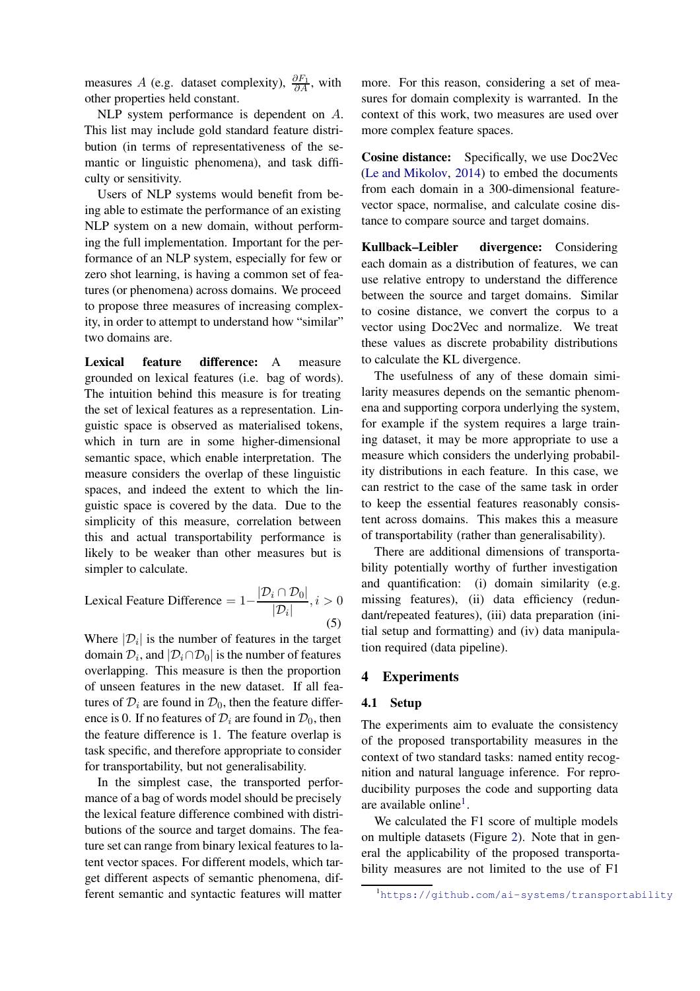measures A (e.g. dataset complexity),  $\frac{\partial F_1}{\partial A}$ , with other properties held constant.

NLP system performance is dependent on A. This list may include gold standard feature distribution (in terms of representativeness of the semantic or linguistic phenomena), and task difficulty or sensitivity.

Users of NLP systems would benefit from being able to estimate the performance of an existing NLP system on a new domain, without performing the full implementation. Important for the performance of an NLP system, especially for few or zero shot learning, is having a common set of features (or phenomena) across domains. We proceed to propose three measures of increasing complexity, in order to attempt to understand how "similar" two domains are.

Lexical feature difference: A measure grounded on lexical features (i.e. bag of words). The intuition behind this measure is for treating the set of lexical features as a representation. Linguistic space is observed as materialised tokens, which in turn are in some higher-dimensional semantic space, which enable interpretation. The measure considers the overlap of these linguistic spaces, and indeed the extent to which the linguistic space is covered by the data. Due to the simplicity of this measure, correlation between this and actual transportability performance is likely to be weaker than other measures but is simpler to calculate.

Lexical Feature Difference =  $1 - \frac{|\mathcal{D}_i \cap \mathcal{D}_0|}{|\mathcal{D}_i|}$  $\frac{1}{|D_i|}$ ,  $i > 0$ (5)

Where  $|\mathcal{D}_i|$  is the number of features in the target domain  $\mathcal{D}_i$ , and  $|\mathcal{D}_i \cap \mathcal{D}_0|$  is the number of features overlapping. This measure is then the proportion of unseen features in the new dataset. If all features of  $\mathcal{D}_i$  are found in  $\mathcal{D}_0$ , then the feature difference is 0. If no features of  $\mathcal{D}_i$  are found in  $\mathcal{D}_0$ , then the feature difference is 1. The feature overlap is task specific, and therefore appropriate to consider for transportability, but not generalisability.

In the simplest case, the transported performance of a bag of words model should be precisely the lexical feature difference combined with distributions of the source and target domains. The feature set can range from binary lexical features to latent vector spaces. For different models, which target different aspects of semantic phenomena, different semantic and syntactic features will matter

more. For this reason, considering a set of measures for domain complexity is warranted. In the context of this work, two measures are used over more complex feature spaces.

Cosine distance: Specifically, we use Doc2Vec [\(Le and Mikolov](#page-8-13), [2014\)](#page-8-13) to embed the documents from each domain in a 300-dimensional featurevector space, normalise, and calculate cosine distance to compare source and target domains.

Kullback–Leibler divergence: Considering each domain as a distribution of features, we can use relative entropy to understand the difference between the source and target domains. Similar to cosine distance, we convert the corpus to a vector using Doc2Vec and normalize. We treat these values as discrete probability distributions to calculate the KL divergence.

The usefulness of any of these domain similarity measures depends on the semantic phenomena and supporting corpora underlying the system, for example if the system requires a large training dataset, it may be more appropriate to use a measure which considers the underlying probability distributions in each feature. In this case, we can restrict to the case of the same task in order to keep the essential features reasonably consistent across domains. This makes this a measure of transportability (rather than generalisability).

There are additional dimensions of transportability potentially worthy of further investigation and quantification: (i) domain similarity (e.g. missing features), (ii) data efficiency (redundant/repeated features), (iii) data preparation (initial setup and formatting) and (iv) data manipulation required (data pipeline).

### 4 Experiments

### 4.1 Setup

The experiments aim to evaluate the consistency of the proposed transportability measures in the context of two standard tasks: named entity recognition and natural language inference. For reproducibility purposes the code and supporting data are available online<sup>[1](#page-4-0)</sup>.

We calculated the F1 score of multiple models on multiple datasets (Figure [2\)](#page-5-0). Note that in general the applicability of the proposed transportability measures are not limited to the use of F1

<span id="page-4-0"></span><sup>1</sup><https://github.com/ai-systems/transportability>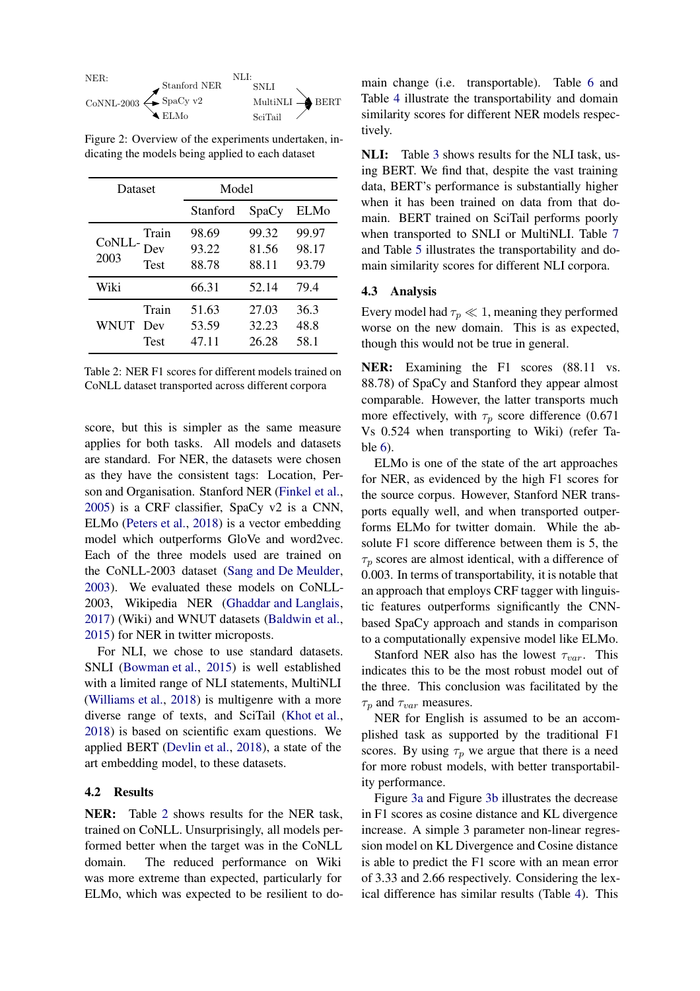<span id="page-5-0"></span>

<span id="page-5-1"></span>Figure 2: Overview of the experiments undertaken, indicating the models being applied to each dataset

| Dataset |             | Model    |       |       |
|---------|-------------|----------|-------|-------|
|         |             | Stanford | SpaCy | ELMo  |
|         | Train       | 98.69    | 99.32 | 99.97 |
| CoNLL   | Dev         | 93.22    | 81.56 | 98.17 |
| 2003    | <b>Test</b> | 88.78    | 88.11 | 93.79 |
| Wiki    |             | 66.31    | 52.14 | 79.4  |
|         | Train       | 51.63    | 27.03 | 36.3  |
| WNUT    | Dev         | 53.59    | 32.23 | 48.8  |
|         | Test        | 47.11    | 26.28 | 58.1  |

Table 2: NER F1 scores for different models trained on CoNLL dataset transported across different corpora

score, but this is simpler as the same measure applies for both tasks. All models and datasets are standard. For NER, the datasets were chosen as they have the consistent tags: Location, Person and Organisation. Stanford NER [\(Finkel et al.,](#page-8-14) [2005\)](#page-8-14) is a CRF classifier, SpaCy v2 is a CNN, ELMo [\(Peters et al.](#page-9-10), [2018\)](#page-9-10) is a vector embedding model which outperforms GloVe and word2vec. Each of the three models used are trained on the CoNLL-2003 dataset [\(Sang and De Meulder,](#page-9-11) [2003\)](#page-9-11). We evaluated these models on CoNLL-2003, Wikipedia NER [\(Ghaddar and Langlais,](#page-8-15) [2017\)](#page-8-15) (Wiki) and WNUT datasets [\(Baldwin et al.,](#page-8-16) [2015\)](#page-8-16) for NER in twitter microposts.

For NLI, we chose to use standard datasets. SNLI [\(Bowman et al.,](#page-8-17) [2015](#page-8-17)) is well established with a limited range of NLI statements, MultiNLI [\(Williams et al.,](#page-9-12) [2018](#page-9-12)) is multigenre with a more diverse range of texts, and SciTail [\(Khot et al.,](#page-8-18) [2018\)](#page-8-18) is based on scientific exam questions. We applied BERT [\(Devlin et al.](#page-8-19), [2018\)](#page-8-19), a state of the art embedding model, to these datasets.

### 4.2 Results

NER: Table [2](#page-5-1) shows results for the NER task, trained on CoNLL. Unsurprisingly, all models performed better when the target was in the CoNLL domain. The reduced performance on Wiki was more extreme than expected, particularly for ELMo, which was expected to be resilient to do-

main change (i.e. transportable). Table [6](#page-7-0) and Table [4](#page-6-0) illustrate the transportability and domain similarity scores for different NER models respectively.

NLI: Table [3](#page-6-1) shows results for the NLI task, using BERT. We find that, despite the vast training data, BERT's performance is substantially higher when it has been trained on data from that domain. BERT trained on SciTail performs poorly when transported to SNLI or MultiNLI. Table [7](#page-7-1) and Table [5](#page-7-2) illustrates the transportability and domain similarity scores for different NLI corpora.

### 4.3 Analysis

Every model had  $\tau_p \ll 1$ , meaning they performed worse on the new domain. This is as expected, though this would not be true in general.

NER: Examining the F1 scores (88.11 vs. 88.78) of SpaCy and Stanford they appear almost comparable. However, the latter transports much more effectively, with  $\tau_p$  score difference (0.671) Vs 0.524 when transporting to Wiki) (refer Table [6\)](#page-7-0).

ELMo is one of the state of the art approaches for NER, as evidenced by the high F1 scores for the source corpus. However, Stanford NER transports equally well, and when transported outperforms ELMo for twitter domain. While the absolute F1 score difference between them is 5, the  $\tau_p$  scores are almost identical, with a difference of 0.003. In terms of transportability, it is notable that an approach that employs CRF tagger with linguistic features outperforms significantly the CNNbased SpaCy approach and stands in comparison to a computationally expensive model like ELMo.

Stanford NER also has the lowest  $\tau_{var}$ . This indicates this to be the most robust model out of the three. This conclusion was facilitated by the  $\tau_p$  and  $\tau_{var}$  measures.

NER for English is assumed to be an accomplished task as supported by the traditional F1 scores. By using  $\tau_p$  we argue that there is a need for more robust models, with better transportability performance.

Figure [3a](#page-6-2) and Figure [3b](#page-6-2) illustrates the decrease in F1 scores as cosine distance and KL divergence increase. A simple 3 parameter non-linear regression model on KL Divergence and Cosine distance is able to predict the F1 score with an mean error of 3.33 and 2.66 respectively. Considering the lexical difference has similar results (Table [4\)](#page-6-0). This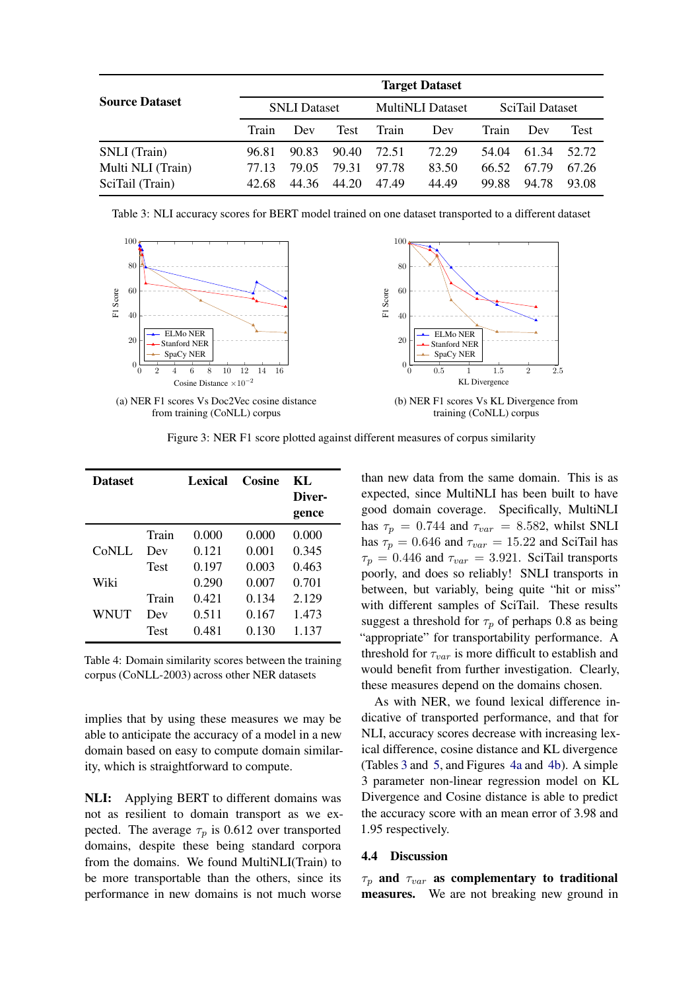<span id="page-6-1"></span>

|                       | <b>Target Dataset</b> |       |                         |       |                 |       |       |       |
|-----------------------|-----------------------|-------|-------------------------|-------|-----------------|-------|-------|-------|
| <b>Source Dataset</b> | <b>SNLI</b> Dataset   |       | <b>MultiNLI Dataset</b> |       | SciTail Dataset |       |       |       |
|                       | Train                 | Dev   | <b>Test</b>             | Train | Dev             | Train | Dev   | Test  |
| SNLI (Train)          | 96.81                 | 90.83 | 90.40                   | 72.51 | 72.29           | 54.04 | 61.34 | 52.72 |
| Multi NLI (Train)     | 77.13                 | 79.05 | 79.31                   | 97.78 | 83.50           | 66.52 | 67.79 | 67.26 |
| SciTail (Train)       | 42.68                 | 44.36 | 44.20                   | 47.49 | 44.49           | 99.88 | 94.78 | 93.08 |

Table 3: NLI accuracy scores for BERT model trained on one dataset transported to a different dataset

<span id="page-6-2"></span>

Figure 3: NER F1 score plotted against different measures of corpus similarity

<span id="page-6-0"></span>

| <b>Dataset</b> |       | <b>Lexical</b> | Cosine | KL.<br>Diver-<br>gence |
|----------------|-------|----------------|--------|------------------------|
|                | Train | 0.000          | 0.000  | 0.000                  |
| CoNLL          | Dev   | 0.121          | 0.001  | 0.345                  |
|                | Test  | 0.197          | 0.003  | 0.463                  |
| Wiki           |       | 0.290          | 0.007  | 0.701                  |
|                | Train | 0.421          | 0.134  | 2.129                  |
| WNUT           | Dev   | 0.511          | 0.167  | 1.473                  |
|                | Test  | 0.481          | 0.130  | 1.137                  |

Table 4: Domain similarity scores between the training corpus (CoNLL-2003) across other NER datasets

implies that by using these measures we may be able to anticipate the accuracy of a model in a new domain based on easy to compute domain similarity, which is straightforward to compute.

NLI: Applying BERT to different domains was not as resilient to domain transport as we expected. The average  $\tau_p$  is 0.612 over transported domains, despite these being standard corpora from the domains. We found MultiNLI(Train) to be more transportable than the others, since its performance in new domains is not much worse

than new data from the same domain. This is as expected, since MultiNLI has been built to have good domain coverage. Specifically, MultiNLI has  $\tau_p = 0.744$  and  $\tau_{var} = 8.582$ , whilst SNLI has  $\tau_p = 0.646$  and  $\tau_{var} = 15.22$  and SciTail has  $\tau_p = 0.446$  and  $\tau_{var} = 3.921$ . SciTail transports poorly, and does so reliably! SNLI transports in between, but variably, being quite "hit or miss" with different samples of SciTail. These results suggest a threshold for  $\tau_p$  of perhaps 0.8 as being "appropriate" for transportability performance. A threshold for  $\tau_{var}$  is more difficult to establish and would benefit from further investigation. Clearly, these measures depend on the domains chosen.

As with NER, we found lexical difference indicative of transported performance, and that for NLI, accuracy scores decrease with increasing lexical difference, cosine distance and KL divergence (Tables [3](#page-6-1) and [5,](#page-7-2) and Figures [4a](#page-7-3) and [4b\)](#page-7-3). A simple 3 parameter non-linear regression model on KL Divergence and Cosine distance is able to predict the accuracy score with an mean error of 3.98 and 1.95 respectively.

## 4.4 Discussion

 $\tau_p$  and  $\tau_{var}$  as complementary to traditional measures. We are not breaking new ground in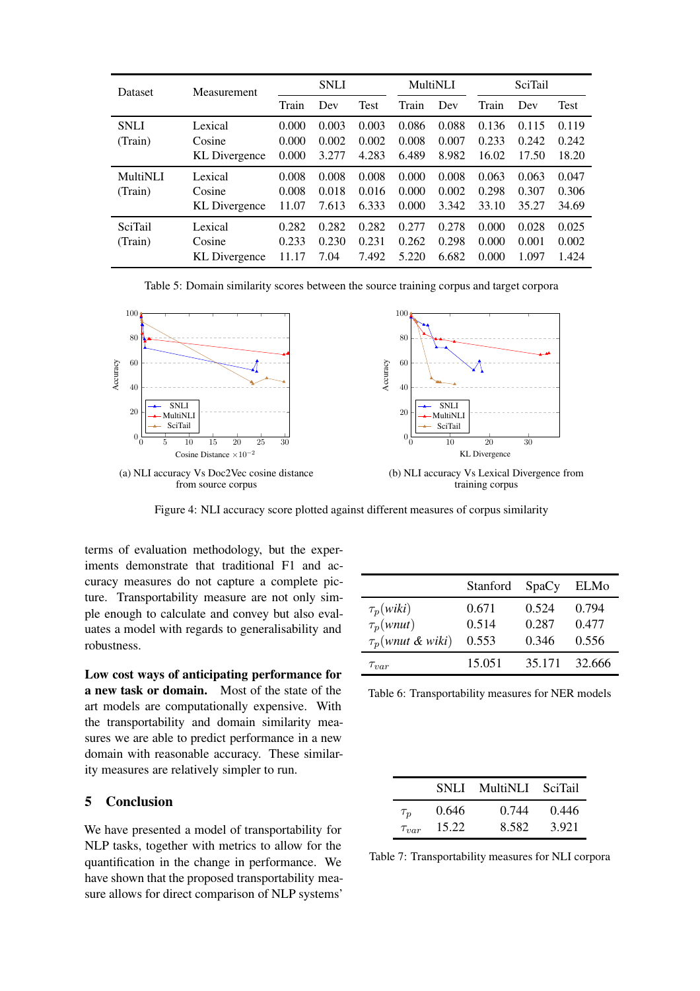<span id="page-7-2"></span>

| Dataset                    | Measurement                               | <b>SNLI</b>             |                         |                         | <b>MultiNLI</b>         |                         | SciTail                 |                         |                         |
|----------------------------|-------------------------------------------|-------------------------|-------------------------|-------------------------|-------------------------|-------------------------|-------------------------|-------------------------|-------------------------|
|                            |                                           | Train                   | Dev                     | Test                    | Train                   | Dev                     | Train                   | Dev                     | <b>Test</b>             |
| <b>SNLI</b><br>(Train)     | Lexical<br>Cosine<br><b>KL</b> Divergence | 0.000<br>0.000<br>0.000 | 0.003<br>0.002<br>3.277 | 0.003<br>0.002<br>4.283 | 0.086<br>0.008<br>6.489 | 0.088<br>0.007<br>8.982 | 0.136<br>0.233<br>16.02 | 0.115<br>0.242<br>17.50 | 0.119<br>0.242<br>18.20 |
| <b>MultiNLI</b><br>(Train) | Lexical<br>Cosine<br><b>KL</b> Divergence | 0.008<br>0.008<br>11.07 | 0.008<br>0.018<br>7.613 | 0.008<br>0.016<br>6.333 | 0.000<br>0.000<br>0.000 | 0.008<br>0.002<br>3.342 | 0.063<br>0.298<br>33.10 | 0.063<br>0.307<br>35.27 | 0.047<br>0.306<br>34.69 |
| <b>SciTail</b><br>(Train)  | Lexical<br>Cosine<br><b>KL</b> Divergence | 0.282<br>0.233<br>11.17 | 0.282<br>0.230<br>7.04  | 0.282<br>0.231<br>7.492 | 0.277<br>0.262<br>5.220 | 0.278<br>0.298<br>6.682 | 0.000<br>0.000<br>0.000 | 0.028<br>0.001<br>1.097 | 0.025<br>0.002<br>1.424 |

Table 5: Domain similarity scores between the source training corpus and target corpora

<span id="page-7-3"></span>

Figure 4: NLI accuracy score plotted against different measures of corpus similarity

terms of evaluation methodology, but the experiments demonstrate that traditional F1 and accuracy measures do not capture a complete picture. Transportability measure are not only simple enough to calculate and convey but also evaluates a model with regards to generalisability and robustness.

Low cost ways of anticipating performance for a new task or domain. Most of the state of the art models are computationally expensive. With the transportability and domain similarity measures we are able to predict performance in a new domain with reasonable accuracy. These similarity measures are relatively simpler to run.

## 5 Conclusion

We have presented a model of transportability for NLP tasks, together with metrics to allow for the quantification in the change in performance. We have shown that the proposed transportability measure allows for direct comparison of NLP systems'

<span id="page-7-0"></span>

|                        | Stanford | SpaCy  | <b>ELMo</b> |
|------------------------|----------|--------|-------------|
| $\tau_p(wiki)$         | 0.671    | 0.524  | 0.794       |
| $\tau_p(\text{wnut})$  | 0.514    | 0.287  | 0.477       |
| $\tau_p$ (wnut & wiki) | 0.553    | 0.346  | 0.556       |
| $\tau_{var}$           | 15.051   | 35.171 | 32.666      |

Table 6: Transportability measures for NER models

<span id="page-7-1"></span>

|              | SNLI – | MultiNLI SciTail |       |
|--------------|--------|------------------|-------|
| $\tau_p$     | 0.646  | 0.744            | 0.446 |
| $\tau_{var}$ | 15.22  | 8.582            | 3.921 |

Table 7: Transportability measures for NLI corpora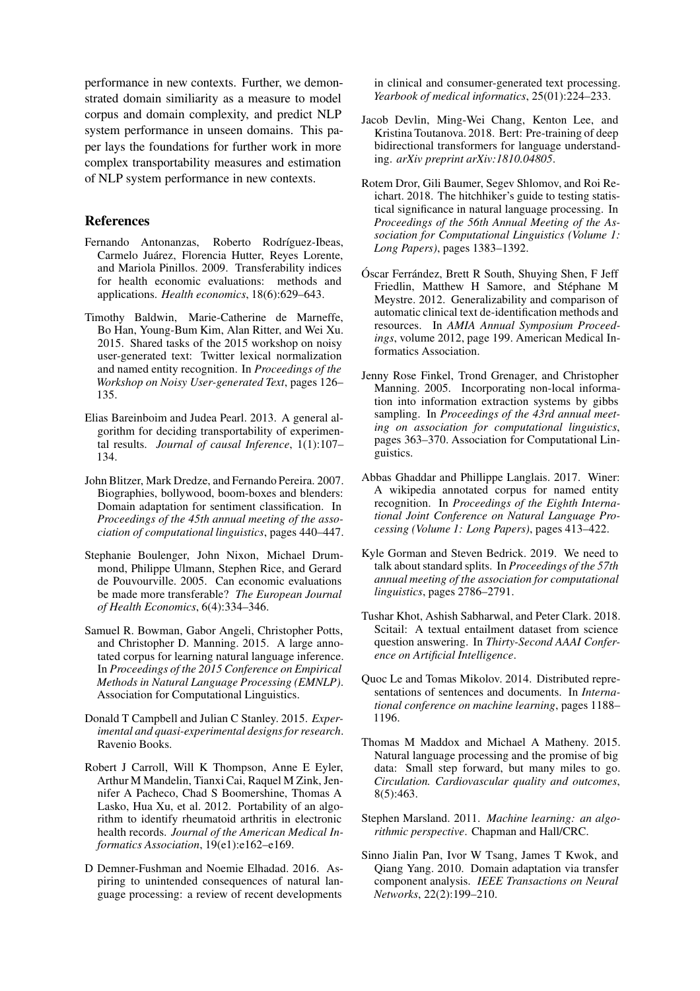performance in new contexts. Further, we demonstrated domain similiarity as a measure to model corpus and domain complexity, and predict NLP system performance in unseen domains. This paper lays the foundations for further work in more complex transportability measures and estimation of NLP system performance in new contexts.

## References

- <span id="page-8-11"></span>Fernando Antonanzas, Roberto Rodríguez-Ibeas, Carmelo Juárez, Florencia Hutter, Reyes Lorente, and Mariola Pinillos. 2009. Transferability indices for health economic evaluations: methods and applications. *Health economics*, 18(6):629–643.
- <span id="page-8-16"></span>Timothy Baldwin, Marie-Catherine de Marneffe, Bo Han, Young-Bum Kim, Alan Ritter, and Wei Xu. 2015. Shared tasks of the 2015 workshop on noisy user-generated text: Twitter lexical normalization and named entity recognition. In *Proceedings of the Workshop on Noisy User-generated Text*, pages 126– 135.
- <span id="page-8-5"></span>Elias Bareinboim and Judea Pearl. 2013. A general algorithm for deciding transportability of experimental results. *Journal of causal Inference*, 1(1):107– 134.
- <span id="page-8-8"></span>John Blitzer, Mark Dredze, and Fernando Pereira. 2007. Biographies, bollywood, boom-boxes and blenders: Domain adaptation for sentiment classification. In *Proceedings of the 45th annual meeting of the association of computational linguistics*, pages 440–447.
- <span id="page-8-10"></span>Stephanie Boulenger, John Nixon, Michael Drummond, Philippe Ulmann, Stephen Rice, and Gerard de Pouvourville. 2005. Can economic evaluations be made more transferable? *The European Journal of Health Economics*, 6(4):334–346.
- <span id="page-8-17"></span>Samuel R. Bowman, Gabor Angeli, Christopher Potts, and Christopher D. Manning. 2015. A large annotated corpus for learning natural language inference. In *Proceedings of the 2015 Conference on Empirical Methods in Natural Language Processing (EMNLP)*. Association for Computational Linguistics.
- <span id="page-8-4"></span>Donald T Campbell and Julian C Stanley. 2015. *Experimental and quasi-experimental designs for research*. Ravenio Books.
- <span id="page-8-7"></span>Robert J Carroll, Will K Thompson, Anne E Eyler, Arthur M Mandelin, Tianxi Cai, Raquel M Zink, Jennifer A Pacheco, Chad S Boomershine, Thomas A Lasko, Hua Xu, et al. 2012. Portability of an algorithm to identify rheumatoid arthritis in electronic health records. *Journal of the American Medical Informatics Association*, 19(e1):e162–e169.
- <span id="page-8-2"></span>D Demner-Fushman and Noemie Elhadad. 2016. Aspiring to unintended consequences of natural language processing: a review of recent developments

in clinical and consumer-generated text processing. *Yearbook of medical informatics*, 25(01):224–233.

- <span id="page-8-19"></span>Jacob Devlin, Ming-Wei Chang, Kenton Lee, and Kristina Toutanova. 2018. Bert: Pre-training of deep bidirectional transformers for language understanding. *arXiv preprint arXiv:1810.04805*.
- <span id="page-8-0"></span>Rotem Dror, Gili Baumer, Segev Shlomov, and Roi Reichart. 2018. The hitchhiker's guide to testing statistical significance in natural language processing. In *Proceedings of the 56th Annual Meeting of the Association for Computational Linguistics (Volume 1: Long Papers)*, pages 1383–1392.
- <span id="page-8-6"></span>Óscar Ferrández, Brett R South, Shuying Shen, F Jeff Friedlin, Matthew H Samore, and Stéphane M Meystre. 2012. Generalizability and comparison of automatic clinical text de-identification methods and resources. In *AMIA Annual Symposium Proceedings*, volume 2012, page 199. American Medical Informatics Association.
- <span id="page-8-14"></span>Jenny Rose Finkel, Trond Grenager, and Christopher Manning. 2005. Incorporating non-local information into information extraction systems by gibbs sampling. In *Proceedings of the 43rd annual meeting on association for computational linguistics*, pages 363–370. Association for Computational Linguistics.
- <span id="page-8-15"></span>Abbas Ghaddar and Phillippe Langlais. 2017. Winer: A wikipedia annotated corpus for named entity recognition. In *Proceedings of the Eighth International Joint Conference on Natural Language Processing (Volume 1: Long Papers)*, pages 413–422.
- <span id="page-8-1"></span>Kyle Gorman and Steven Bedrick. 2019. We need to talk about standard splits. In *Proceedings of the 57th annual meeting of the association for computational linguistics*, pages 2786–2791.
- <span id="page-8-18"></span>Tushar Khot, Ashish Sabharwal, and Peter Clark. 2018. Scitail: A textual entailment dataset from science question answering. In *Thirty-Second AAAI Conference on Artificial Intelligence*.
- <span id="page-8-13"></span>Quoc Le and Tomas Mikolov. 2014. Distributed representations of sentences and documents. In *International conference on machine learning*, pages 1188– 1196.
- <span id="page-8-3"></span>Thomas M Maddox and Michael A Matheny. 2015. Natural language processing and the promise of big data: Small step forward, but many miles to go. *Circulation. Cardiovascular quality and outcomes*, 8(5):463.
- <span id="page-8-12"></span>Stephen Marsland. 2011. *Machine learning: an algorithmic perspective*. Chapman and Hall/CRC.
- <span id="page-8-9"></span>Sinno Jialin Pan, Ivor W Tsang, James T Kwok, and Qiang Yang. 2010. Domain adaptation via transfer component analysis. *IEEE Transactions on Neural Networks*, 22(2):199–210.